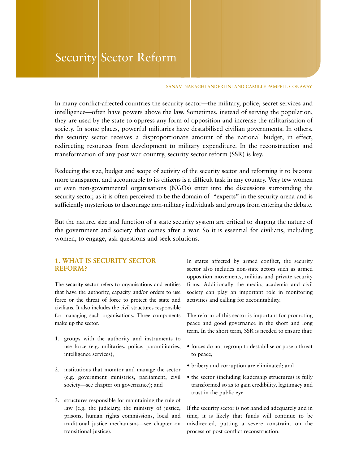# Security Sector Reform

#### SANAM NARAGHI ANDERLINI AND CAMILLE PAMPELL CONAWAY

In many conflict-affected countries the security sector—the military, police, secret services and intelligence—often have powers above the law. Sometimes, instead of serving the population, they are used by the state to oppress any form of opposition and increase the militarisation of society. In some places, powerful militaries have destabilised civilian governments. In others, the security sector receives a disproportionate amount of the national budget, in effect, redirecting resources from development to military expenditure. In the reconstruction and transformation of any post war country, security sector reform (SSR) is key.

Reducing the size, budget and scope of activity of the security sector and reforming it to become more transparent and accountable to its citizens is a difficult task in any country. Very few women or even non-governmental organisations (NGOs) enter into the discussions surrounding the security sector, as it is often perceived to be the domain of "experts" in the security arena and is sufficiently mysterious to discourage non-military individuals and groups from entering the debate.

But the nature, size and function of a state security system are critical to shaping the nature of the government and society that comes after a war. So it is essential for civilians, including women, to engage, ask questions and seek solutions.

# **1. WHAT IS SECURITY SECTOR REFORM?**

The **security sector** refers to organisations and entities that have the authority, capacity and/or orders to use force or the threat of force to protect the state and civilians. It also includes the civil structures responsible for managing such organisations. Three components make up the sector:

- 1. groups with the authority and instruments to use force (e.g. militaries, police, paramilitaries, intelligence services);
- 2. institutions that monitor and manage the sector (e.g. government ministries, parliament, civil society—see chapter on governance); and
- 3. structures responsible for maintaining the rule of law (e.g. the judiciary, the ministry of justice, prisons, human rights commissions, local and traditional justice mechanisms—see chapter on transitional justice).

In states affected by armed conflict, the security sector also includes non-state actors such as armed opposition movements, militias and private security firms. Additionally the media, academia and civil society can play an important role in monitoring activities and calling for accountability.

The reform of this sector is important for promoting peace and good governance in the short and long term. In the short term, SSR is needed to ensure that:

- forces do not regroup to destabilise or pose a threat to peace;
- bribery and corruption are eliminated; and
- the sector (including leadership structures) is fully transformed so as to gain credibility, legitimacy and trust in the public eye.

If the security sector is not handled adequately and in time, it is likely that funds will continue to be misdirected, putting a severe constraint on the process of post conflict reconstruction.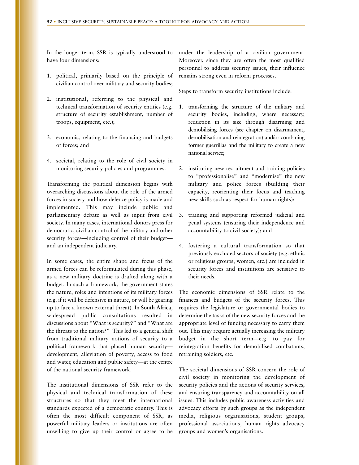In the longer term, SSR is typically understood to have four dimensions:

- 1. political, primarily based on the principle of civilian control over military and security bodies;
- 2. institutional, referring to the physical and technical transformation of security entities (e.g. structure of security establishment, number of troops, equipment, etc.);
- 3. economic, relating to the financing and budgets of forces; and
- 4. societal, relating to the role of civil society in monitoring security policies and programmes.

Transforming the political dimension begins with overarching discussions about the role of the armed forces in society and how defence policy is made and implemented. This may include public and parliamentary debate as well as input from civil society. In many cases, international donors press for democratic, civilian control of the military and other security forces—including control of their budget and an independent judiciary.

In some cases, the entire shape and focus of the armed forces can be reformulated during this phase, as a new military doctrine is drafted along with a budget. In such a framework, the government states the nature, roles and intentions of its military forces (e.g. if it will be defensive in nature, or will be gearing up to face a known external threat). In **South Africa**, widespread public consultations resulted in discussions about "What is security?" and "What are the threats to the nation?" This led to a general shift from traditional military notions of security to a political framework that placed human security development, alleviation of poverty, access to food and water, education and public safety—at the centre of the national security framework.

The institutional dimensions of SSR refer to the physical and technical transformation of these structures so that they meet the international standards expected of a democratic country. This is often the most difficult component of SSR, as powerful military leaders or institutions are often unwilling to give up their control or agree to be

under the leadership of a civilian government. Moreover, since they are often the most qualified personnel to address security issues, their influence remains strong even in reform processes.

Steps to transform security institutions include:

- 1. transforming the structure of the military and security bodies, including, where necessary, reduction in its size through disarming and demobilising forces (see chapter on disarmament, demobilisation and reintegration) and/or combining former guerrillas and the military to create a new national service;
- 2. instituting new recruitment and training policies to "professionalise" and "modernise" the new military and police forces (building their capacity, reorienting their focus and teaching new skills such as respect for human rights);
- 3. training and supporting reformed judicial and penal systems (ensuring their independence and accountability to civil society); and
- 4. fostering a cultural transformation so that previously excluded sectors of society (e.g. ethnic or religious groups, women, etc.) are included in security forces and institutions are sensitive to their needs.

The economic dimensions of SSR relate to the finances and budgets of the security forces. This requires the legislature or governmental bodies to determine the tasks of the new security forces and the appropriate level of funding necessary to carry them out. This may require actually increasing the military budget in the short term—e.g. to pay for reintegration benefits for demobilised combatants, retraining soldiers, etc.

The societal dimensions of SSR concern the role of civil society in monitoring the development of security policies and the actions of security services, and ensuring transparency and accountability on all issues. This includes public awareness activities and advocacy efforts by such groups as the independent media, religious organisations, student groups, professional associations, human rights advocacy groups and women's organisations.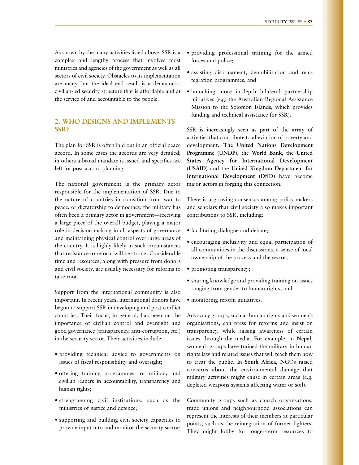As shown by the many activities listed above, SSR is a complex and lengthy process that involves most ministries and agencies of the government as well as all sectors of civil society. Obstacles to its implementation are many, but the ideal end result is a democratic, civilian-led security structure that is affordable and at the service of and accountable to the people.

# **2. WHO DESIGNS AND IMPLEMENTS SSR?**

The plan for SSR is often laid out in an official peace accord. In some cases the accords are very detailed; in others a broad mandate is issued and specifics are left for post-accord planning.

The national government is the primary actor responsible for the implementation of SSR. Due to the nature of countries in transition from war to peace, or dictatorship to democracy, the military has often been a primary actor in government—receiving a large piece of the overall budget, playing a major role in decision-making in all aspects of governance and maintaining physical control over large areas of the country. It is highly likely in such circumstances that resistance to reform will be strong. Considerable time and resources, along with pressure from donors and civil society, are usually necessary for reforms to take root.

Support from the international community is also important. In recent years, international donors have begun to support SSR in developing and post conflict countries. Their focus, in general, has been on the importance of civilian control and oversight and good governance (transparency, anti-corruption, etc.) in the security sector. Their activities include:

- providing technical advice to governments on issues of fiscal responsibility and oversight;
- offering training programmes for military and civilian leaders in accountability, transparency and human rights;
- strengthening civil institutions, such as the ministries of justice and defence;
- supporting and building civil society capacities to provide input into and monitor the security sector;
- providing professional training for the armed forces and police;
- assisting disarmament, demobilisation and reintegration programmes; and
- launching more in-depth bilateral partnership initiatives (e.g. the Australian Regional Assistance Mission to the Solomon Islands, which provides funding and technical assistance for SSR).

SSR is increasingly seen as part of the array of activities that contribute to alleviation of poverty and development. **The United Nations Development Programme (UNDP)**, the **World Bank**, the **United States Agency for International Development (USAID)** and the **United Kingdom Department for International Development (DfID)** have become major actors in forging this connection.

There is a growing consensus among policy-makers and scholars that civil society also makes important contributions to SSR, including:

- facilitating dialogue and debate;
- encouraging inclusivity and equal participation of all communities in the discussions, a sense of local ownership of the process and the sector;
- promoting transparency;
- sharing knowledge and providing training on issues ranging from gender to human rights; and
- monitoring reform initiatives.

Advocacy groups, such as human rights and women's organisations, can press for reforms and insist on transparency, while raising awareness of certain issues through the media. For example, in **Nepal**, women's groups have trained the military in human rights law and related issues that will teach them how to treat the public. In **South Africa**, NGOs raised concerns about the environmental damage that military activities might cause in certain areas (e.g. depleted weapons systems affecting water or soil).

Community groups such as church organisations, trade unions and neighbourhood associations can represent the interests of their members at particular points, such as the reintegration of former fighters. They might lobby for longer-term resources to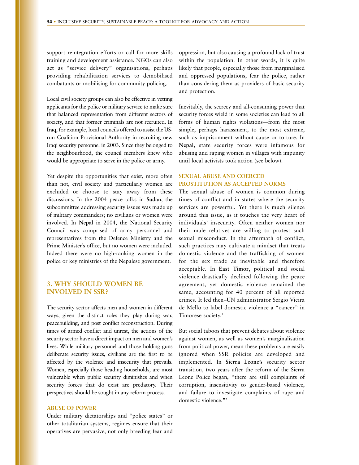support reintegration efforts or call for more skills training and development assistance. NGOs can also act as "service delivery" organisations, perhaps providing rehabilitation services to demobilised combatants or mobilising for community policing.

Local civil society groups can also be effective in vetting applicants for the police or military service to make sure that balanced representation from different sectors of society, and that former criminals are not recruited. In **Iraq**, for example, local councils offered to assist the USrun Coalition Provisional Authority in recruiting new Iraqi security personnel in 2003. Since they belonged to the neighbourhood, the council members knew who would be appropriate to serve in the police or army.

Yet despite the opportunities that exist, more often than not, civil society and particularly women are excluded or choose to stay away from these discussions. In the 2004 peace talks in **Sudan**, the subcommittee addressing security issues was made up of military commanders; no civilians or women were involved. In **Nepal** in 2004, the National Security Council was comprised of army personnel and representatives from the Defence Ministry and the Prime Minister's office, but no women were included. Indeed there were no high-ranking women in the police or key ministries of the Nepalese government.

# **3. WHY SHOULD WOMEN BE INVOLVED IN SSR?**

The security sector affects men and women in different ways, given the distinct roles they play during war, peacebuilding, and post conflict reconstruction. During times of armed conflict and unrest, the actions of the security sector have a direct impact on men and women's lives. While military personnel and those holding guns deliberate security issues, civilians are the first to be affected by the violence and insecurity that prevails. Women, especially those heading households, are most vulnerable when public security diminishes and when security forces that do exist are predatory. Their perspectives should be sought in any reform process.

## **ABUSE OF POWER**

Under military dictatorships and "police states" or other totalitarian systems, regimes ensure that their operatives are pervasive, not only breeding fear and oppression, but also causing a profound lack of trust within the population. In other words, it is quite likely that people, especially those from marginalised and oppressed populations, fear the police, rather than considering them as providers of basic security and protection.

Inevitably, the secrecy and all-consuming power that security forces wield in some societies can lead to all forms of human rights violations—from the most simple, perhaps harassment, to the most extreme, such as imprisonment without cause or torture. In **Nepal**, state security forces were infamous for abusing and raping women in villages with impunity until local activists took action (see below).

# **SEXUAL ABUSE AND COERCED PROSTITUTION AS ACCEPTED NORMS**

The sexual abuse of women is common during times of conflict and in states where the security services are powerful. Yet there is much silence around this issue, as it touches the very heart of individuals' insecurity. Often neither women nor their male relatives are willing to protest such sexual misconduct. In the aftermath of conflict, such practices may cultivate a mindset that treats domestic violence and the trafficking of women for the sex trade as inevitable and therefore acceptable. In **East Timor**, political and social violence drastically declined following the peace agreement, yet domestic violence remained the same, accounting for 40 percent of all reported crimes. It led then–UN administrator Sergio Vieira de Mello to label domestic violence a "cancer" in Timorese society.<sup>1</sup>

But social taboos that prevent debates about violence against women, as well as women's marginalisation from political power, mean these problems are easily ignored when SSR policies are developed and implemented. In **Sierra Leone's** security sector transition, two years after the reform of the Sierra Leone Police began, "there are still complaints of corruption, insensitivity to gender-based violence, and failure to investigate complaints of rape and domestic violence."2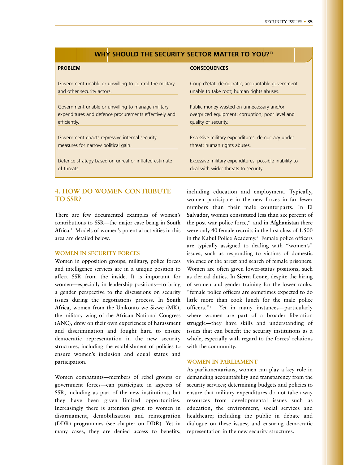## **WHY SHOULD THE SECURITY SECTOR MATTER TO YOU?**13

## **PROBLEM**

Government unable or unwilling to control the military and other security actors.

Government unable or unwilling to manage military expenditures and defence procurements effectively and efficiently.

Government enacts repressive internal security measures for narrow political gain.

Defence strategy based on unreal or inflated estimate of threats.

## **4. HOW DO WOMEN CONTRIBUTE TO SSR?**

There are few documented examples of women's contributions to SSR—the major case being in **South Africa**. <sup>3</sup> Models of women's potential activities in this area are detailed below.

## **WOMEN IN SECURITY FORCES**

Women in opposition groups, military, police forces and intelligence services are in a unique position to affect SSR from the inside. It is important for women—especially in leadership positions—to bring a gender perspective to the discussions on security issues during the negotiations process. In **South Africa**, women from the Umkonto we Sizwe (MK), the military wing of the African National Congress (ANC), drew on their own experiences of harassment and discrimination and fought hard to ensure democratic representation in the new security structures, including the establishment of policies to ensure women's inclusion and equal status and participation.

Women combatants—members of rebel groups or government forces—can participate in aspects of SSR, including as part of the new institutions, but they have been given limited opportunities. Increasingly there is attention given to women in disarmament, demobilisation and reintegration (DDR) programmes (see chapter on DDR). Yet in many cases, they are denied access to benefits,

#### **CONSEQUENCES**

Coup d'etat; democratic, accountable government unable to take root; human rights abuses.

Public money wasted on unnecessary and/or overpriced equipment; corruption; poor level and quality of security.

Excessive military expenditures; democracy under threat; human rights abuses.

Excessive military expenditures; possible inability to deal with wider threats to security.

including education and employment. Typically, women participate in the new forces in far fewer numbers than their male counterparts. In **El Salvador**, women constituted less than six percent of the post war police force,<sup>4</sup> and in Afghanistan there were only 40 female recruits in the first class of 1,500 in the Kabul Police Academy.<sup>5</sup> Female police officers are typically assigned to dealing with "women's" issues, such as responding to victims of domestic violence or the arrest and search of female prisoners. Women are often given lower-status positions, such as clerical duties. In **Sierra Leone**, despite the hiring of women and gender training for the lower ranks, "female police officers are sometimes expected to do little more than cook lunch for the male police officers."6 Yet in many instances—particularly where women are part of a broader liberation struggle—they have skills and understanding of issues that can benefit the security institutions as a whole, especially with regard to the forces' relations with the community.

## **WOMEN IN PARLIAMENT**

As parliamentarians, women can play a key role in demanding accountability and transparency from the security services; determining budgets and policies to ensure that military expenditures do not take away resources from developmental issues such as education, the environment, social services and healthcare; including the public in debate and dialogue on these issues; and ensuring democratic representation in the new security structures.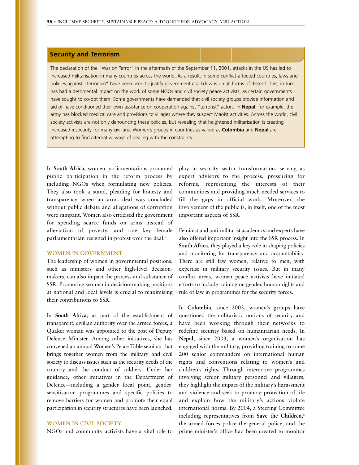## **Security and Terrorism**

The declaration of the "War on Terror" in the aftermath of the September 11, 2001, attacks in the US has led to increased militarisation in many countries across the world. As a result, in some conflict-affected countries, laws and policies against "terrorism" have been used to justify government crackdowns on all forms of dissent. This, in turn, has had a detrimental impact on the work of some NGOs and civil society peace activists, as certain governments have sought to co-opt them. Some governments have demanded that civil society groups provide information and aid or have conditioned their own assistance on cooperation against "terrorist" actors. In **Nepal**, for example, the army has blocked medical care and provisions to villages where they suspect Maoist activities. Across the world, civil society activists are not only denouncing these policies, but revealing that heightened militarisation is creating increased insecurity for many civilians. Women's groups in countries as varied as **Colombia** and **Nepal** are attempting to find alternative ways of dealing with the constraints.

In **South Africa**, women parliamentarians promoted public participation in the reform process by including NGOs when formulating new policies. They also took a stand, pleading for honesty and transparency when an arms deal was concluded without public debate and allegations of corruption were rampant. Women also criticised the government for spending scarce funds on arms instead of alleviation of poverty, and one key female parliamentarian resigned in protest over the deal.<sup>7</sup>

## **WOMEN IN GOVERNMENT**

The leadership of women in governmental positions, such as ministers and other high-level decisionmakers, can also impact the process and substance of SSR. Promoting women in decision-making positions at national and local levels is crucial to maximising their contributions to SSR.

In **South Africa**, as part of the establishment of transparent, civilian authority over the armed forces, a Quaker woman was appointed to the post of Deputy Defence Minister. Among other initiatives, she has convened an annual Women's Peace Table seminar that brings together women from the military and civil society to discuss issues such as the security needs of the country and the conduct of soldiers. Under her guidance, other initiatives in the Department of Defence—including a gender focal point, gendersensitisation programmes and specific policies to remove barriers for women and promote their equal participation in security structures have been launched.

## **WOMEN IN CIVIL SOCIETY**

NGOs and community activists have a vital role to

play in security sector transformation, serving as expert advisors to the process, pressuring for reforms, representing the interests of their communities and providing much-needed services to fill the gaps in official work. Moreover, the involvement of the public is, in itself, one of the most important aspects of SSR.

Feminist and anti-militarist academics and experts have also offered important insight into the SSR process. In **South Africa**, they played a key role in shaping policies and monitoring for transparency and accountability. There are still few women, relative to men, with expertise in military security issues. But in many conflict areas, women peace activists have initiated efforts to include training on gender, human rights and rule of law in programmes for the security forces.

In **Colombia**, since 2003, women's groups have questioned the militaristic notions of security and have been working through their networks to redefine security based on humanitarian needs. In **Nepal**, since 2003, a women's organisation has engaged with the military, providing training to some 200 senior commanders on international human rights and conventions relating to women's and children's rights. Through interactive programmes involving senior military personnel and villagers, they highlight the impact of the military's harassment and violence and seek to promote protection of life and explain how the military's actions violate international norms. By 2004, a Steering Committee including representatives from **Save the Children**, 8 the armed forces police the general police, and the prime minister's office had been created to monitor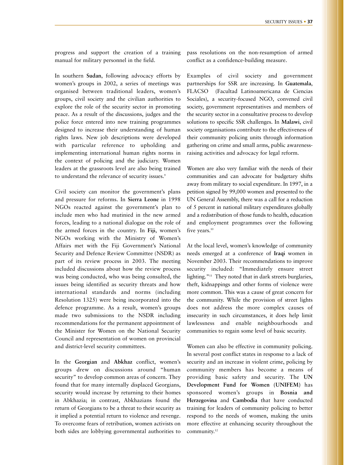progress and support the creation of a training manual for military personnel in the field.

In southern **Sudan**, following advocacy efforts by women's groups in 2002, a series of meetings was organised between traditional leaders, women's groups, civil society and the civilian authorities to explore the role of the security sector in promoting peace. As a result of the discussions, judges and the police force entered into new training programmes designed to increase their understanding of human rights laws. New job descriptions were developed with particular reference to upholding and implementing international human rights norms in the context of policing and the judiciary. Women leaders at the grassroots level are also being trained to understand the relevance of security issues.<sup>9</sup>

Civil society can monitor the government's plans and pressure for reforms. In **Sierra Leone** in 1998 NGOs reacted against the government's plan to include men who had mutinied in the new armed forces, leading to a national dialogue on the role of the armed forces in the country. In **Fiji**, women's NGOs working with the Ministry of Women's Affairs met with the Fiji Government's National Security and Defence Review Committee (NSDR) as part of its review process in 2003. The meeting included discussions about how the review process was being conducted, who was being consulted, the issues being identified as security threats and how international standards and norms (including Resolution 1325) were being incorporated into the defence programme. As a result, women's groups made two submissions to the NSDR including recommendations for the permanent appointment of the Minister for Women on the National Security Council and representation of women on provincial and district-level security committees.

In the **Georgian** and **Abkhaz** conflict, women's groups drew on discussions around "human security" to develop common areas of concern. They found that for many internally displaced Georgians, security would increase by returning to their homes in Abkhazia; in contrast, Abkhazians found the return of Georgians to be a threat to their security as it implied a potential return to violence and revenge. To overcome fears of retribution, women activists on both sides are lobbying governmental authorities to pass resolutions on the non-resumption of armed conflict as a confidence-building measure.

Examples of civil society and government partnerships for SSR are increasing. In **Guatemala**, FLACSO (Facultad Latinoamericana de Ciencias Sociales), a security-focused NGO, convened civil society, government representatives and members of the security sector in a consultative process to develop solutions to specific SSR challenges. In **Malawi**, civil society organisations contribute to the effectiveness of their community policing units through information gathering on crime and small arms, public awarenessraising activities and advocacy for legal reform.

Women are also very familiar with the needs of their communities and can advocate for budgetary shifts away from military to social expenditure. In 1997, in a petition signed by 99,000 women and presented to the UN General Assembly, there was a call for a reduction of 5 percent in national military expenditures globally and a redistribution of those funds to health, education and employment programmes over the following five years.<sup>10</sup>

At the local level, women's knowledge of community needs emerged at a conference of **Iraqi** women in November 2003. Their recommendations to improve security included: "Immediately ensure street lighting."<sup>11</sup> They noted that in dark streets burglaries, theft, kidnappings and other forms of violence were more common. This was a cause of great concern for the community. While the provision of street lights does not address the more complex causes of insecurity in such circumstances, it does help limit lawlessness and enable neighbourhoods and communities to regain some level of basic security.

Women can also be effective in community policing. In several post conflict states in response to a lack of security and an increase in violent crime, policing by community members has become a means of providing basic safety and security. The **UN Development Fund for Women (UNIFEM)** has sponsored women's groups in **Bosnia and Herzegovina** and **Cambodia** that have conducted training for leaders of community policing to better respond to the needs of women, making the units more effective at enhancing security throughout the community.<sup>12</sup>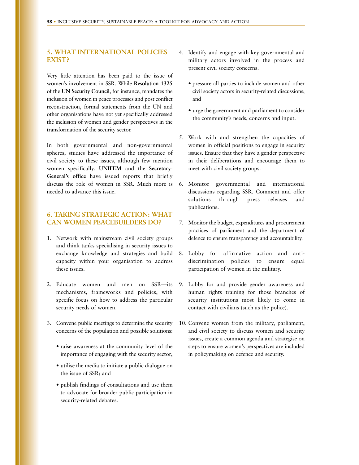# **5. WHAT INTERNATIONAL POLICIES EXIST?**

Very little attention has been paid to the issue of women's involvement in SSR. While **Resolution 1325** of the **UN Security Council**, for instance, mandates the inclusion of women in peace processes and post conflict reconstruction, formal statements from the UN and other organisations have not yet specifically addressed the inclusion of women and gender perspectives in the transformation of the security sector.

In both governmental and non-governmental spheres, studies have addressed the importance of civil society to these issues, although few mention women specifically. **UNIFEM** and the **Secretary-General's office** have issued reports that briefly discuss the role of women in SSR. Much more is 6. Monitor governmental and international needed to advance this issue.

# **6. TAKING STRATEGIC ACTION: WHAT CAN WOMEN PEACEBUILDERS DO?**

- 1. Network with mainstream civil society groups and think tanks specialising in security issues to exchange knowledge and strategies and build capacity within your organisation to address these issues.
- 2. Educate women and men on SSR—its mechanisms, frameworks and policies, with specific focus on how to address the particular security needs of women.
- 3. Convene public meetings to determine the security concerns of the population and possible solutions:
	- raise awareness at the community level of the importance of engaging with the security sector;
	- utilise the media to initiate a public dialogue on the issue of SSR; and
	- publish findings of consultations and use them to advocate for broader public participation in security-related debates.
- 4. Identify and engage with key governmental and military actors involved in the process and present civil society concerns.
	- pressure all parties to include women and other civil society actors in security-related discussions; and
	- urge the government and parliament to consider the community's needs, concerns and input.
- 5. Work with and strengthen the capacities of women in official positions to engage in security issues. Ensure that they have a gender perspective in their deliberations and encourage them to meet with civil society groups.
- discussions regarding SSR. Comment and offer solutions through press releases and publications.
- 7. Monitor the budget, expenditures and procurement practices of parliament and the department of defence to ensure transparency and accountability.
- 8. Lobby for affirmative action and antidiscrimination policies to ensure equal participation of women in the military.
- 9. Lobby for and provide gender awareness and human rights training for those branches of security institutions most likely to come in contact with civilians (such as the police).
- 10. Convene women from the military, parliament, and civil society to discuss women and security issues, create a common agenda and strategise on steps to ensure women's perspectives are included in policymaking on defence and security.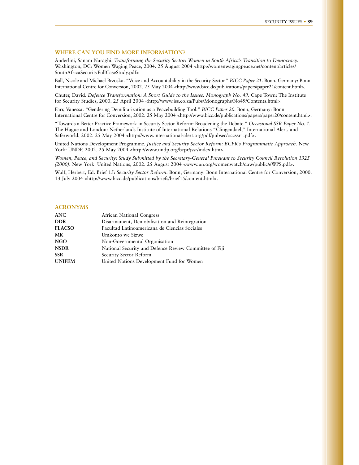#### **WHERE CAN YOU FIND MORE INFORMATION?**

Anderlini, Sanam Naraghi. *Transforming the Security Sector: Women in South Africa's Transition to Democracy*. Washington, DC: Women Waging Peace, 2004. 25 August 2004 <http://womenwagingpeace.net/content/articles/ SouthAfricaSecurityFullCaseStudy.pdf>

Ball, Nicole and Michael Brzoska. "Voice and Accountability in the Security Sector." *BICC Paper 21*. Bonn, Germany: Bonn International Centre for Conversion, 2002. 25 May 2004 <http://www.bicc.de/publications/papers/paper21/content.html>.

Chuter, David. *Defence Transformation: A Short Guide to the Issues, Monograph No. 49*. Cape Town: The Institute for Security Studies, 2000. 25 April 2004 <http://www.iss.co.za/Pubs/Monographs/No49/Contents.html>.

Farr, Vanessa. "Gendering Demilitarization as a Peacebuilding Tool." *BICC Paper 20*. Bonn, Germany: Bonn International Centre for Conversion, 2002. 25 May 2004 <http://www.bicc.de/publications/papers/paper20/content.html>.

"Towards a Better Practice Framework in Security Sector Reform: Broadening the Debate." *Occasional SSR Paper No. 1.* The Hague and London: Netherlands Institute of International Relations "Clingendael," International Alert, and Saferworld, 2002. 25 May 2004 <http://www.international-alert.org/pdf/pubsec/occssr1.pdf>.

United Nations Development Programme. *Justice and Security Sector Reform: BCPR's Programmatic Approach.* New York: UNDP, 2002. 25 May 2004 <http://www.undp.org/bcpr/jssr/index.htm>.

*Women, Peace, and Security: Study Submitted by the Secretary-General Pursuant to Security Council Resolution 1325 (2000)*. New York: United Nations, 2002. 25 August 2004 <www.un.org/womenwatch/daw/public/eWPS.pdf>.

Wulf, Herbert, Ed. Brief 15: *Security Sector Reform*. Bonn, Germany: Bonn International Centre for Conversion, 2000. 13 July 2004 <http://www.bicc.de/publications/briefs/brief15/content.html>.

#### **ACRONYMS**

| ANC           | African National Congress                              |
|---------------|--------------------------------------------------------|
| <b>DDR</b>    | Disarmament, Demobilisation and Reintegration          |
| <b>FLACSO</b> | Facultad Latinoamericana de Ciencias Sociales          |
| МK            | Umkonto we Sizwe                                       |
| NGO           | Non-Governmental Organisation                          |
| <b>NSDR</b>   | National Security and Defence Review Committee of Fiji |
| <b>SSR</b>    | Security Sector Reform                                 |
| <b>UNIFEM</b> | United Nations Development Fund for Women              |